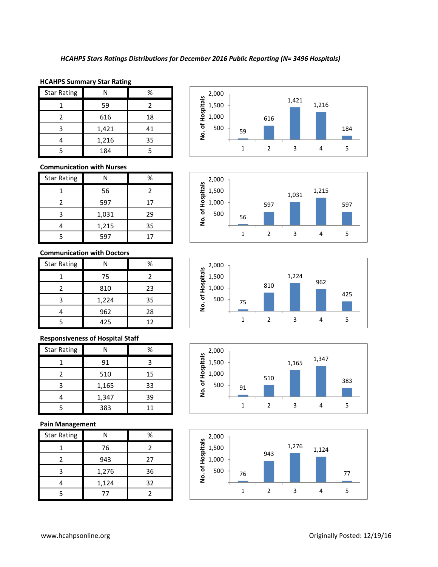### **HCAHPS Summary Star Rating**

| <b>Star Rating</b> | N     | %  |
|--------------------|-------|----|
|                    | 59    |    |
| 2                  | 616   | 18 |
| ς                  | 1,421 | 41 |
|                    | 1,216 | 35 |
|                    | 184   |    |

## **Communication with Nurses**

| <b>Star Rating</b> | Ν     | %  |
|--------------------|-------|----|
|                    | 56    | 2  |
|                    | 597   | 17 |
| з                  | 1,031 | 29 |
|                    | 1,215 | 35 |
|                    | 597   | 17 |

## **Communication with Doctors**

| <b>Star Rating</b> |       | %  |
|--------------------|-------|----|
|                    | 75    | 2  |
|                    | 810   | 23 |
| 3                  | 1,224 | 35 |
|                    | 962   | 28 |
|                    | 425   | 12 |

## **Responsiveness of Hospital Staff**

| <b>Star Rating</b> |       | %  |
|--------------------|-------|----|
|                    | 91    |    |
|                    | 510   | 15 |
|                    | 1,165 | 33 |
|                    | 1,347 | 39 |
|                    | 383   | 11 |

## **Pain Management**

| <b>Star Rating</b> | N     | %  |
|--------------------|-------|----|
|                    | 76    | 2  |
|                    | 943   | 27 |
| ੨                  | 1,276 | 36 |
|                    | 1,124 | 32 |
|                    | 77    |    |









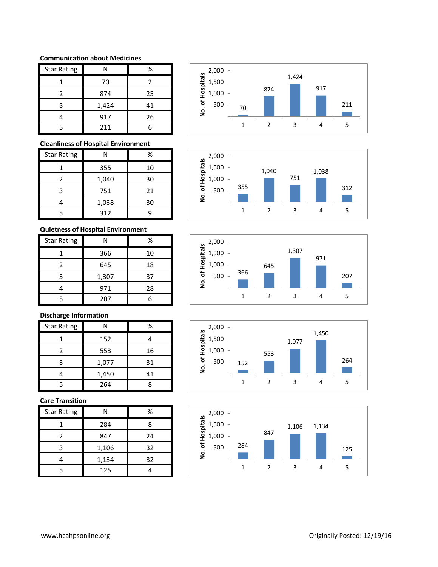## **Communication about Medicines**

| <b>Star Rating</b> | Ν     | %  |
|--------------------|-------|----|
|                    | 70    | 2  |
| 2                  | 874   | 25 |
| 3                  | 1,424 | 41 |
|                    | 917   | 26 |
|                    | 211   |    |

## **Cleanliness of Hospital Environment**

| <b>Star Rating</b> | Ν     | %  |
|--------------------|-------|----|
|                    | 355   | 10 |
|                    | 1,040 | 30 |
| ς                  | 751   | 21 |
|                    | 1,038 | 30 |
|                    | 312   |    |

# **Quietness of Hospital Environment**

| <b>Star Rating</b> |       | ℅  |
|--------------------|-------|----|
|                    | 366   | 10 |
| 2                  | 645   | 18 |
| 3                  | 1,307 | 37 |
|                    | 971   | 28 |
|                    | 207   |    |

# **Discharge Information**

| <b>Star Rating</b> | Ν     | %  |
|--------------------|-------|----|
|                    | 152   |    |
| 2                  | 553   | 16 |
|                    | 1,077 | 31 |
|                    | 1,450 | 41 |
|                    | 264   | 8  |

## **Care Transition**

| <b>Star Rating</b> | Ν     | %  |
|--------------------|-------|----|
|                    | 284   | 8  |
| 2                  | 847   | 24 |
| 3                  | 1,106 | 32 |
|                    | 1,134 | 32 |
| 5                  | 125   |    |